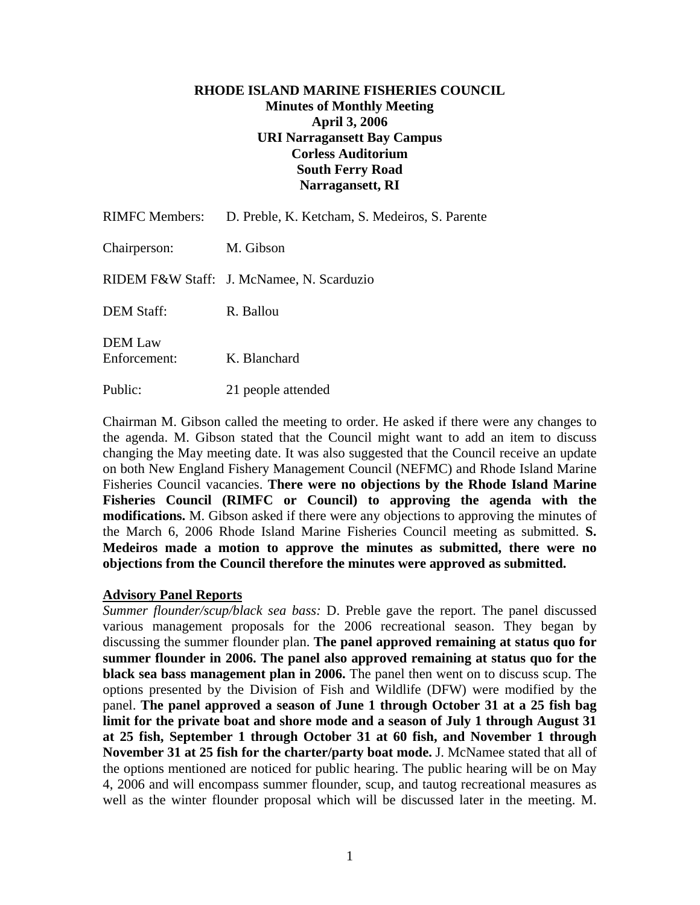# **RHODE ISLAND MARINE FISHERIES COUNCIL Minutes of Monthly Meeting April 3, 2006 URI Narragansett Bay Campus Corless Auditorium South Ferry Road Narragansett, RI**

| <b>RIMFC Members:</b>   | D. Preble, K. Ketcham, S. Medeiros, S. Parente |
|-------------------------|------------------------------------------------|
| Chairperson:            | M. Gibson                                      |
|                         | RIDEM F&W Staff: J. McNamee, N. Scarduzio      |
| <b>DEM Staff:</b>       | R. Ballou                                      |
| DEM Law<br>Enforcement: | K. Blanchard                                   |
| Public:                 | 21 people attended                             |

Chairman M. Gibson called the meeting to order. He asked if there were any changes to the agenda. M. Gibson stated that the Council might want to add an item to discuss changing the May meeting date. It was also suggested that the Council receive an update on both New England Fishery Management Council (NEFMC) and Rhode Island Marine Fisheries Council vacancies. **There were no objections by the Rhode Island Marine Fisheries Council (RIMFC or Council) to approving the agenda with the modifications.** M. Gibson asked if there were any objections to approving the minutes of the March 6, 2006 Rhode Island Marine Fisheries Council meeting as submitted. **S. Medeiros made a motion to approve the minutes as submitted, there were no objections from the Council therefore the minutes were approved as submitted.** 

### **Advisory Panel Reports**

*Summer flounder/scup/black sea bass:* D. Preble gave the report. The panel discussed various management proposals for the 2006 recreational season. They began by discussing the summer flounder plan. **The panel approved remaining at status quo for summer flounder in 2006. The panel also approved remaining at status quo for the black sea bass management plan in 2006.** The panel then went on to discuss scup. The options presented by the Division of Fish and Wildlife (DFW) were modified by the panel. **The panel approved a season of June 1 through October 31 at a 25 fish bag limit for the private boat and shore mode and a season of July 1 through August 31 at 25 fish, September 1 through October 31 at 60 fish, and November 1 through November 31 at 25 fish for the charter/party boat mode.** J. McNamee stated that all of the options mentioned are noticed for public hearing. The public hearing will be on May 4, 2006 and will encompass summer flounder, scup, and tautog recreational measures as well as the winter flounder proposal which will be discussed later in the meeting. M.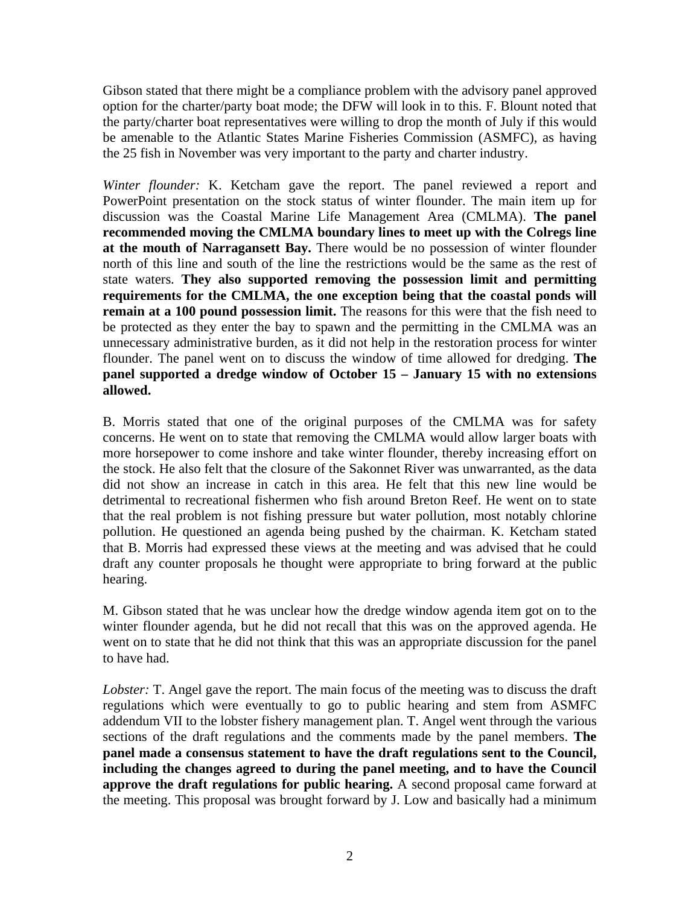Gibson stated that there might be a compliance problem with the advisory panel approved option for the charter/party boat mode; the DFW will look in to this. F. Blount noted that the party/charter boat representatives were willing to drop the month of July if this would be amenable to the Atlantic States Marine Fisheries Commission (ASMFC), as having the 25 fish in November was very important to the party and charter industry.

*Winter flounder:* K. Ketcham gave the report. The panel reviewed a report and PowerPoint presentation on the stock status of winter flounder. The main item up for discussion was the Coastal Marine Life Management Area (CMLMA). **The panel recommended moving the CMLMA boundary lines to meet up with the Colregs line at the mouth of Narragansett Bay.** There would be no possession of winter flounder north of this line and south of the line the restrictions would be the same as the rest of state waters. **They also supported removing the possession limit and permitting requirements for the CMLMA, the one exception being that the coastal ponds will remain at a 100 pound possession limit.** The reasons for this were that the fish need to be protected as they enter the bay to spawn and the permitting in the CMLMA was an unnecessary administrative burden, as it did not help in the restoration process for winter flounder. The panel went on to discuss the window of time allowed for dredging. **The panel supported a dredge window of October 15 – January 15 with no extensions allowed.** 

B. Morris stated that one of the original purposes of the CMLMA was for safety concerns. He went on to state that removing the CMLMA would allow larger boats with more horsepower to come inshore and take winter flounder, thereby increasing effort on the stock. He also felt that the closure of the Sakonnet River was unwarranted, as the data did not show an increase in catch in this area. He felt that this new line would be detrimental to recreational fishermen who fish around Breton Reef. He went on to state that the real problem is not fishing pressure but water pollution, most notably chlorine pollution. He questioned an agenda being pushed by the chairman. K. Ketcham stated that B. Morris had expressed these views at the meeting and was advised that he could draft any counter proposals he thought were appropriate to bring forward at the public hearing.

M. Gibson stated that he was unclear how the dredge window agenda item got on to the winter flounder agenda, but he did not recall that this was on the approved agenda. He went on to state that he did not think that this was an appropriate discussion for the panel to have had.

*Lobster:* T. Angel gave the report. The main focus of the meeting was to discuss the draft regulations which were eventually to go to public hearing and stem from ASMFC addendum VII to the lobster fishery management plan. T. Angel went through the various sections of the draft regulations and the comments made by the panel members. **The panel made a consensus statement to have the draft regulations sent to the Council, including the changes agreed to during the panel meeting, and to have the Council approve the draft regulations for public hearing.** A second proposal came forward at the meeting. This proposal was brought forward by J. Low and basically had a minimum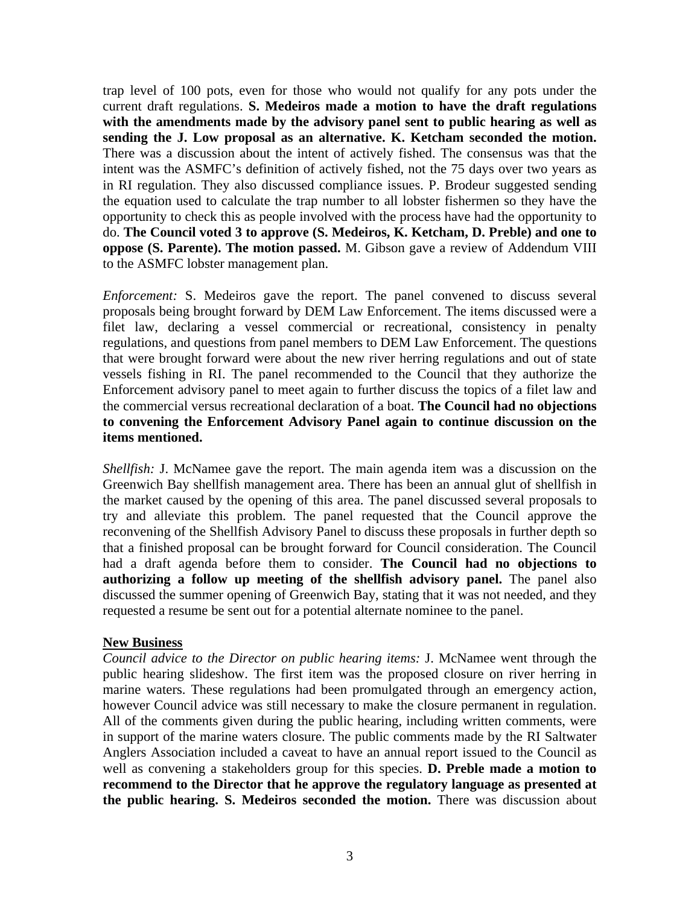trap level of 100 pots, even for those who would not qualify for any pots under the current draft regulations. **S. Medeiros made a motion to have the draft regulations with the amendments made by the advisory panel sent to public hearing as well as sending the J. Low proposal as an alternative. K. Ketcham seconded the motion.** There was a discussion about the intent of actively fished. The consensus was that the intent was the ASMFC's definition of actively fished, not the 75 days over two years as in RI regulation. They also discussed compliance issues. P. Brodeur suggested sending the equation used to calculate the trap number to all lobster fishermen so they have the opportunity to check this as people involved with the process have had the opportunity to do. **The Council voted 3 to approve (S. Medeiros, K. Ketcham, D. Preble) and one to oppose (S. Parente). The motion passed.** M. Gibson gave a review of Addendum VIII to the ASMFC lobster management plan.

*Enforcement:* S. Medeiros gave the report. The panel convened to discuss several proposals being brought forward by DEM Law Enforcement. The items discussed were a filet law, declaring a vessel commercial or recreational, consistency in penalty regulations, and questions from panel members to DEM Law Enforcement. The questions that were brought forward were about the new river herring regulations and out of state vessels fishing in RI. The panel recommended to the Council that they authorize the Enforcement advisory panel to meet again to further discuss the topics of a filet law and the commercial versus recreational declaration of a boat. **The Council had no objections to convening the Enforcement Advisory Panel again to continue discussion on the items mentioned.** 

*Shellfish:* J. McNamee gave the report. The main agenda item was a discussion on the Greenwich Bay shellfish management area. There has been an annual glut of shellfish in the market caused by the opening of this area. The panel discussed several proposals to try and alleviate this problem. The panel requested that the Council approve the reconvening of the Shellfish Advisory Panel to discuss these proposals in further depth so that a finished proposal can be brought forward for Council consideration. The Council had a draft agenda before them to consider. **The Council had no objections to authorizing a follow up meeting of the shellfish advisory panel.** The panel also discussed the summer opening of Greenwich Bay, stating that it was not needed, and they requested a resume be sent out for a potential alternate nominee to the panel.

### **New Business**

*Council advice to the Director on public hearing items:* J. McNamee went through the public hearing slideshow. The first item was the proposed closure on river herring in marine waters. These regulations had been promulgated through an emergency action, however Council advice was still necessary to make the closure permanent in regulation. All of the comments given during the public hearing, including written comments, were in support of the marine waters closure. The public comments made by the RI Saltwater Anglers Association included a caveat to have an annual report issued to the Council as well as convening a stakeholders group for this species. **D. Preble made a motion to recommend to the Director that he approve the regulatory language as presented at the public hearing. S. Medeiros seconded the motion.** There was discussion about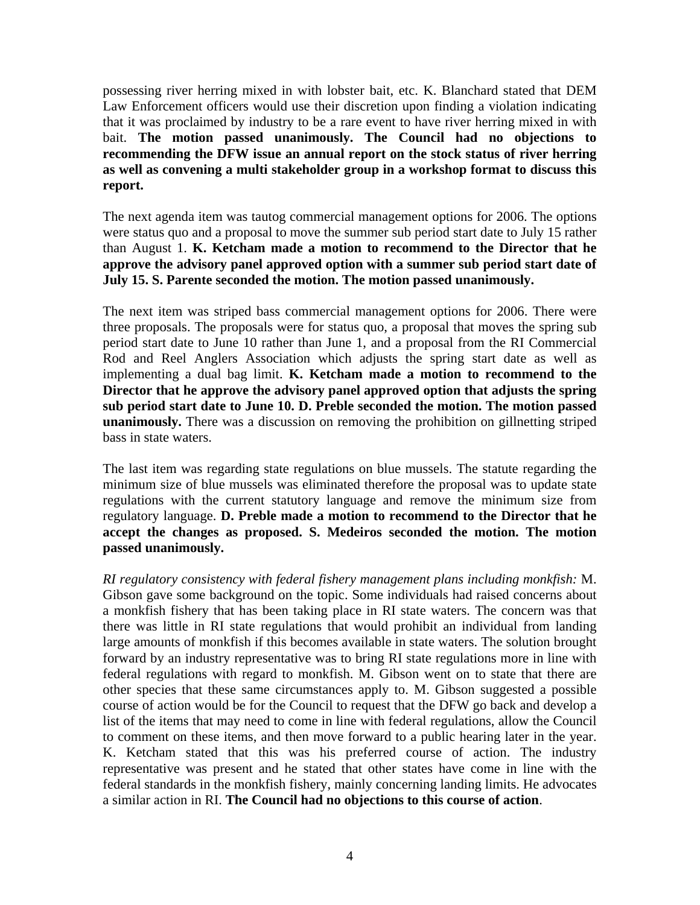possessing river herring mixed in with lobster bait, etc. K. Blanchard stated that DEM Law Enforcement officers would use their discretion upon finding a violation indicating that it was proclaimed by industry to be a rare event to have river herring mixed in with bait. **The motion passed unanimously. The Council had no objections to recommending the DFW issue an annual report on the stock status of river herring as well as convening a multi stakeholder group in a workshop format to discuss this report.**

The next agenda item was tautog commercial management options for 2006. The options were status quo and a proposal to move the summer sub period start date to July 15 rather than August 1. **K. Ketcham made a motion to recommend to the Director that he approve the advisory panel approved option with a summer sub period start date of July 15. S. Parente seconded the motion. The motion passed unanimously.** 

The next item was striped bass commercial management options for 2006. There were three proposals. The proposals were for status quo, a proposal that moves the spring sub period start date to June 10 rather than June 1, and a proposal from the RI Commercial Rod and Reel Anglers Association which adjusts the spring start date as well as implementing a dual bag limit. **K. Ketcham made a motion to recommend to the Director that he approve the advisory panel approved option that adjusts the spring sub period start date to June 10. D. Preble seconded the motion. The motion passed unanimously.** There was a discussion on removing the prohibition on gillnetting striped bass in state waters.

The last item was regarding state regulations on blue mussels. The statute regarding the minimum size of blue mussels was eliminated therefore the proposal was to update state regulations with the current statutory language and remove the minimum size from regulatory language. **D. Preble made a motion to recommend to the Director that he accept the changes as proposed. S. Medeiros seconded the motion. The motion passed unanimously.** 

*RI regulatory consistency with federal fishery management plans including monkfish:* M. Gibson gave some background on the topic. Some individuals had raised concerns about a monkfish fishery that has been taking place in RI state waters. The concern was that there was little in RI state regulations that would prohibit an individual from landing large amounts of monkfish if this becomes available in state waters. The solution brought forward by an industry representative was to bring RI state regulations more in line with federal regulations with regard to monkfish. M. Gibson went on to state that there are other species that these same circumstances apply to. M. Gibson suggested a possible course of action would be for the Council to request that the DFW go back and develop a list of the items that may need to come in line with federal regulations, allow the Council to comment on these items, and then move forward to a public hearing later in the year. K. Ketcham stated that this was his preferred course of action. The industry representative was present and he stated that other states have come in line with the federal standards in the monkfish fishery, mainly concerning landing limits. He advocates a similar action in RI. **The Council had no objections to this course of action**.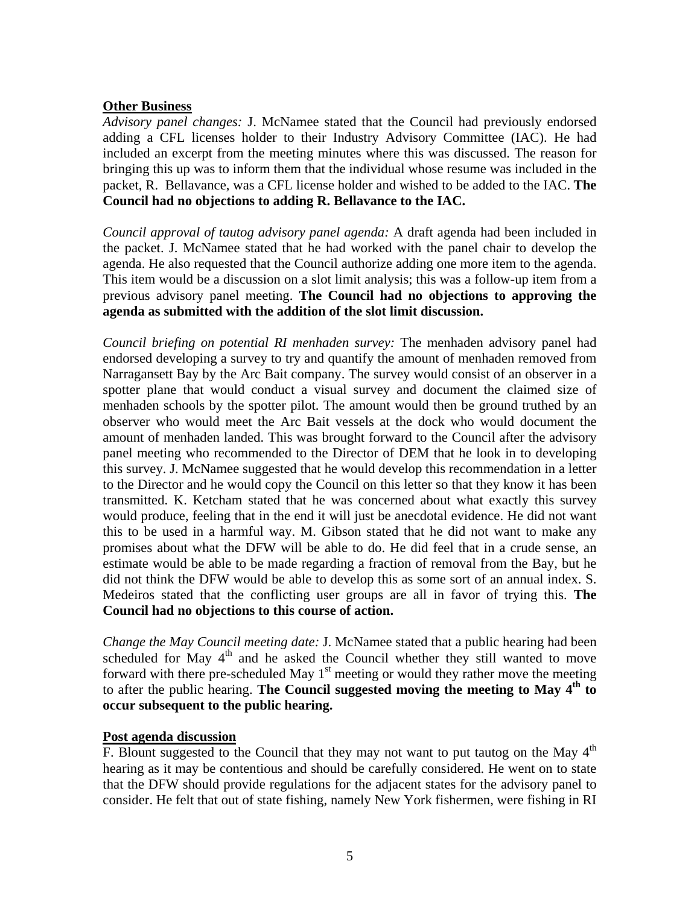# **Other Business**

*Advisory panel changes:* J. McNamee stated that the Council had previously endorsed adding a CFL licenses holder to their Industry Advisory Committee (IAC). He had included an excerpt from the meeting minutes where this was discussed. The reason for bringing this up was to inform them that the individual whose resume was included in the packet, R. Bellavance, was a CFL license holder and wished to be added to the IAC. **The Council had no objections to adding R. Bellavance to the IAC.**

*Council approval of tautog advisory panel agenda:* A draft agenda had been included in the packet. J. McNamee stated that he had worked with the panel chair to develop the agenda. He also requested that the Council authorize adding one more item to the agenda. This item would be a discussion on a slot limit analysis; this was a follow-up item from a previous advisory panel meeting. **The Council had no objections to approving the agenda as submitted with the addition of the slot limit discussion.**

*Council briefing on potential RI menhaden survey:* The menhaden advisory panel had endorsed developing a survey to try and quantify the amount of menhaden removed from Narragansett Bay by the Arc Bait company. The survey would consist of an observer in a spotter plane that would conduct a visual survey and document the claimed size of menhaden schools by the spotter pilot. The amount would then be ground truthed by an observer who would meet the Arc Bait vessels at the dock who would document the amount of menhaden landed. This was brought forward to the Council after the advisory panel meeting who recommended to the Director of DEM that he look in to developing this survey. J. McNamee suggested that he would develop this recommendation in a letter to the Director and he would copy the Council on this letter so that they know it has been transmitted. K. Ketcham stated that he was concerned about what exactly this survey would produce, feeling that in the end it will just be anecdotal evidence. He did not want this to be used in a harmful way. M. Gibson stated that he did not want to make any promises about what the DFW will be able to do. He did feel that in a crude sense, an estimate would be able to be made regarding a fraction of removal from the Bay, but he did not think the DFW would be able to develop this as some sort of an annual index. S. Medeiros stated that the conflicting user groups are all in favor of trying this. **The Council had no objections to this course of action.** 

*Change the May Council meeting date:* J. McNamee stated that a public hearing had been scheduled for May  $4<sup>th</sup>$  and he asked the Council whether they still wanted to move forward with there pre-scheduled May  $1<sup>st</sup>$  meeting or would they rather move the meeting to after the public hearing. **The Council suggested moving the meeting to May 4<sup>th</sup> to occur subsequent to the public hearing.**

### **Post agenda discussion**

F. Blount suggested to the Council that they may not want to put tautog on the May  $4<sup>th</sup>$ hearing as it may be contentious and should be carefully considered. He went on to state that the DFW should provide regulations for the adjacent states for the advisory panel to consider. He felt that out of state fishing, namely New York fishermen, were fishing in RI